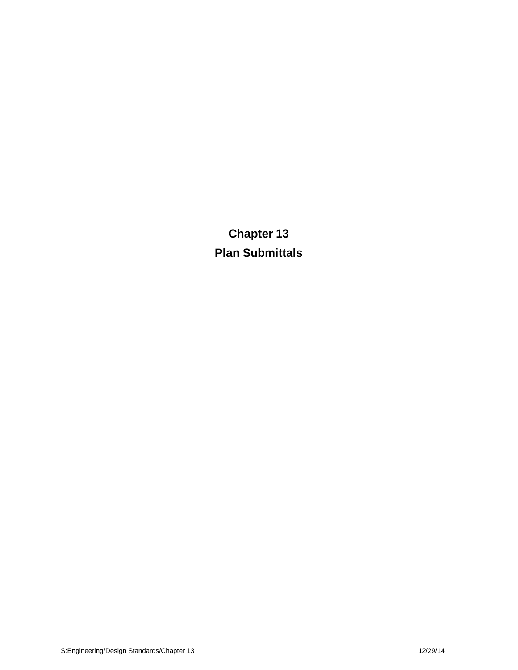**Chapter 13 Plan Submittals**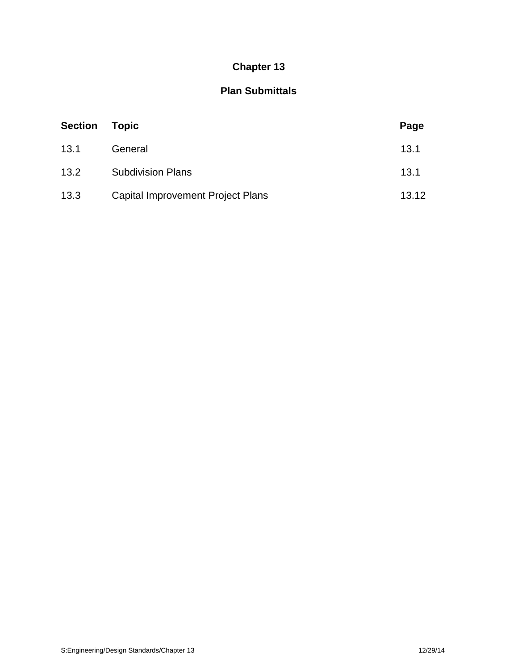# **Chapter 13**

## **Plan Submittals**

| <b>Section</b> | <b>Topic</b>                      | Page  |
|----------------|-----------------------------------|-------|
| 13.1           | General                           | 13.1  |
| 13.2           | <b>Subdivision Plans</b>          | 13.1  |
| 13.3           | Capital Improvement Project Plans | 13.12 |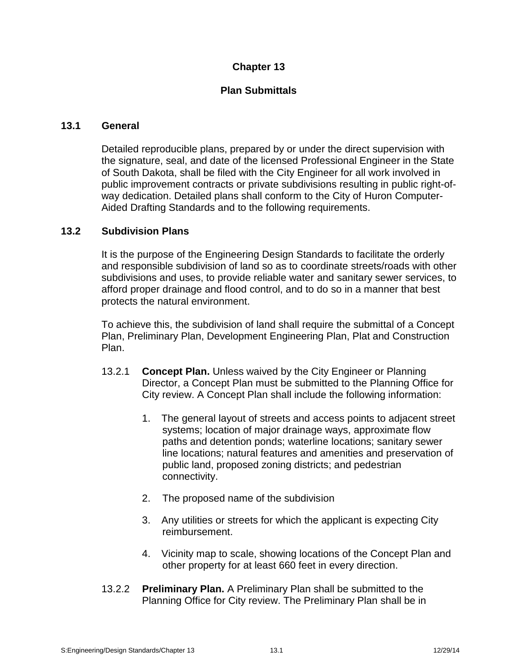## **Chapter 13**

## **Plan Submittals**

#### **13.1 General**

Detailed reproducible plans, prepared by or under the direct supervision with the signature, seal, and date of the licensed Professional Engineer in the State of South Dakota, shall be filed with the City Engineer for all work involved in public improvement contracts or private subdivisions resulting in public right-ofway dedication. Detailed plans shall conform to the City of Huron Computer- Aided Drafting Standards and to the following requirements.

#### **13.2 Subdivision Plans**

It is the purpose of the Engineering Design Standards to facilitate the orderly and responsible subdivision of land so as to coordinate streets/roads with other subdivisions and uses, to provide reliable water and sanitary sewer services, to afford proper drainage and flood control, and to do so in a manner that best protects the natural environment.

To achieve this, the subdivision of land shall require the submittal of a Concept Plan, Preliminary Plan, Development Engineering Plan, Plat and Construction Plan.

- 13.2.1 **Concept Plan.** Unless waived by the City Engineer or Planning Director, a Concept Plan must be submitted to the Planning Office for City review. A Concept Plan shall include the following information:
	- 1. The general layout of streets and access points to adjacent street systems; location of major drainage ways, approximate flow paths and detention ponds; waterline locations; sanitary sewer line locations; natural features and amenities and preservation of public land, proposed zoning districts; and pedestrian connectivity.
	- 2. The proposed name of the subdivision
	- 3. Any utilities or streets for which the applicant is expecting City reimbursement.
	- 4. Vicinity map to scale, showing locations of the Concept Plan and other property for at least 660 feet in every direction.
- 13.2.2 **Preliminary Plan.** A Preliminary Plan shall be submitted to the Planning Office for City review. The Preliminary Plan shall be in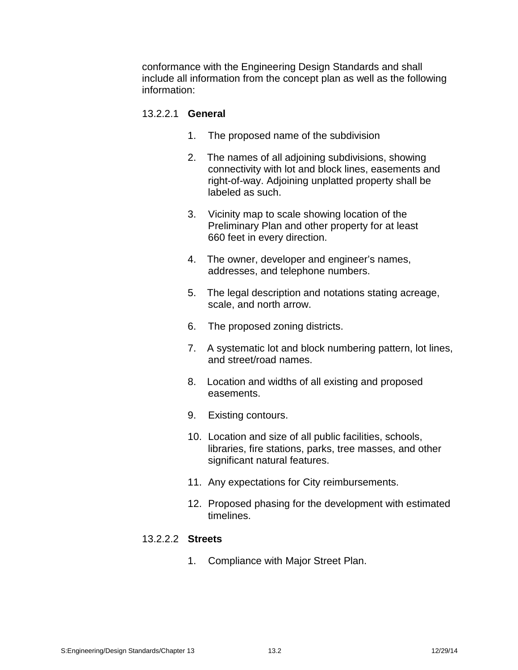conformance with the Engineering Design Standards and shall include all information from the concept plan as well as the following information:

#### 13.2.2.1 **General**

- 1. The proposed name of the subdivision
- 2. The names of all adjoining subdivisions, showing connectivity with lot and block lines, easements and right-of-way. Adjoining unplatted property shall be labeled as such.
- 3. Vicinity map to scale showing location of the Preliminary Plan and other property for at least 660 feet in every direction.
- 4. The owner, developer and engineer's names, addresses, and telephone numbers.
- 5. The legal description and notations stating acreage, scale, and north arrow.
- 6. The proposed zoning districts.
- 7. A systematic lot and block numbering pattern, lot lines, and street/road names.
- 8. Location and widths of all existing and proposed easements.
- 9. Existing contours.
- 10. Location and size of all public facilities, schools, libraries, fire stations, parks, tree masses, and other significant natural features.
- 11. Any expectations for City reimbursements.
- 12. Proposed phasing for the development with estimated timelines.

#### 13.2.2.2 **Streets**

1. Compliance with Major Street Plan.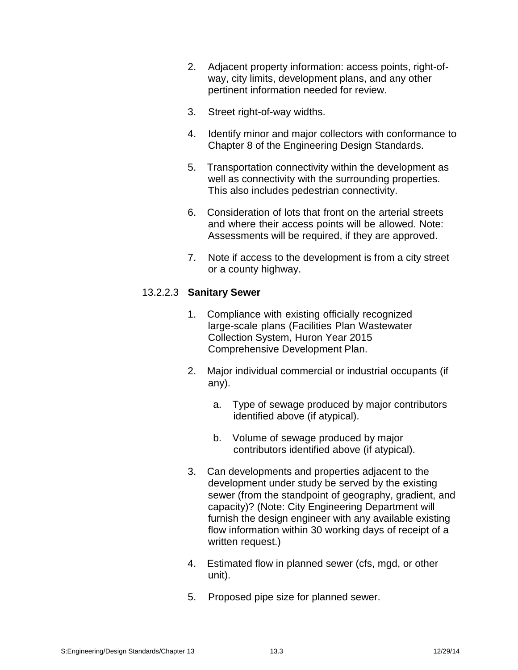- 2. Adjacent property information: access points, right-of way, city limits, development plans, and any other pertinent information needed for review.
- 3. Street right-of-way widths.
- 4. Identify minor and major collectors with conformance to Chapter 8 of the Engineering Design Standards.
- 5. Transportation connectivity within the development as well as connectivity with the surrounding properties. This also includes pedestrian connectivity.
- 6. Consideration of lots that front on the arterial streets and where their access points will be allowed. Note: Assessments will be required, if they are approved.
- 7. Note if access to the development is from a city street or a county highway.

## 13.2.2.3 **Sanitary Sewer**

- 1. Compliance with existing officially recognized large-scale plans (Facilities Plan Wastewater Collection System, Huron Year 2015 Comprehensive Development Plan.
- 2. Major individual commercial or industrial occupants (if any).
	- a. Type of sewage produced by major contributors identified above (if atypical).
	- b. Volume of sewage produced by major contributors identified above (if atypical).
- 3. Can developments and properties adjacent to the development under study be served by the existing sewer (from the standpoint of geography, gradient, and capacity)? (Note: City Engineering Department will furnish the design engineer with any available existing flow information within 30 working days of receipt of a written request.)
- 4. Estimated flow in planned sewer (cfs, mgd, or other unit).
- 5. Proposed pipe size for planned sewer.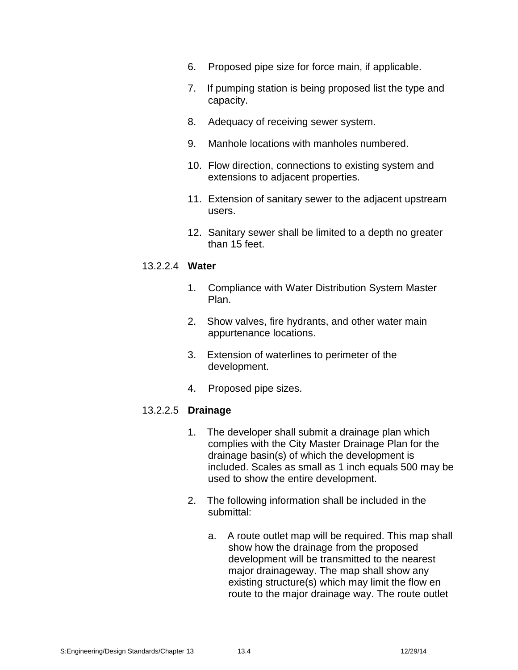- 6. Proposed pipe size for force main, if applicable.
- 7. If pumping station is being proposed list the type and capacity.
- 8. Adequacy of receiving sewer system.
- 9. Manhole locations with manholes numbered.
- 10. Flow direction, connections to existing system and extensions to adjacent properties.
- 11. Extension of sanitary sewer to the adjacent upstream users.
- 12. Sanitary sewer shall be limited to a depth no greater than 15 feet.

#### 13.2.2.4 **Water**

- 1. Compliance with Water Distribution System Master Plan.
- 2. Show valves, fire hydrants, and other water main appurtenance locations.
- 3. Extension of waterlines to perimeter of the development.
- 4. Proposed pipe sizes.

#### 13.2.2.5 **Drainage**

- 1. The developer shall submit a drainage plan which complies with the City Master Drainage Plan for the drainage basin(s) of which the development is included. Scales as small as 1 inch equals 500 may be used to show the entire development.
- 2. The following information shall be included in the submittal:
	- a. A route outlet map will be required. This map shall show how the drainage from the proposed development will be transmitted to the nearest major drainageway. The map shall show any existing structure(s) which may limit the flow en route to the major drainage way. The route outlet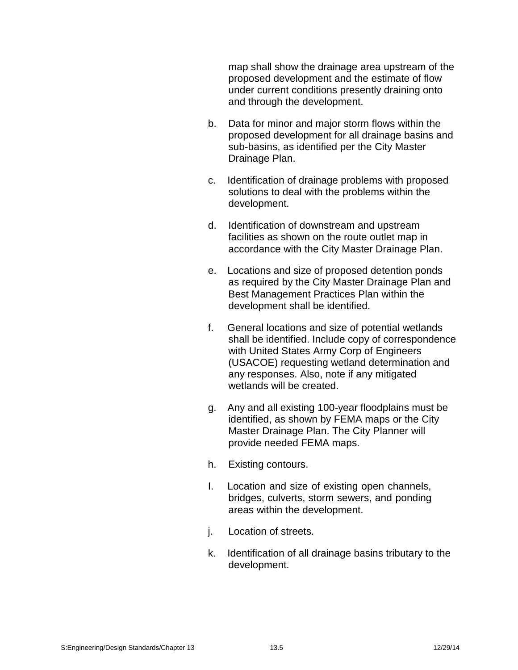map shall show the drainage area upstream of the proposed development and the estimate of flow under current conditions presently draining onto and through the development.

- b. Data for minor and major storm flows within the proposed development for all drainage basins and sub-basins, as identified per the City Master Drainage Plan.
- c. Identification of drainage problems with proposed solutions to deal with the problems within the development.
- d. Identification of downstream and upstream facilities as shown on the route outlet map in accordance with the City Master Drainage Plan.
- e. Locations and size of proposed detention ponds as required by the City Master Drainage Plan and Best Management Practices Plan within the development shall be identified.
- f. General locations and size of potential wetlands shall be identified. Include copy of correspondence with United States Army Corp of Engineers (USACOE) requesting wetland determination and any responses. Also, note if any mitigated wetlands will be created.
- g. Any and all existing 100-year floodplains must be identified, as shown by FEMA maps or the City Master Drainage Plan. The City Planner will provide needed FEMA maps.
- h. Existing contours.
- I. Location and size of existing open channels, bridges, culverts, storm sewers, and ponding areas within the development.
- j. Location of streets.
- k. Identification of all drainage basins tributary to the development.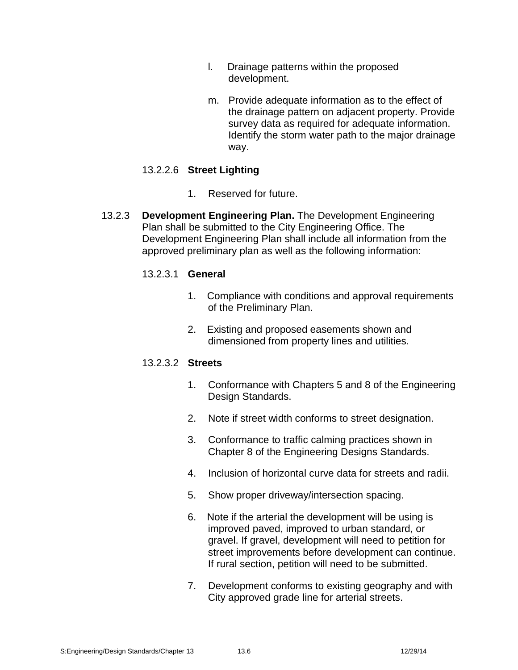- l. Drainage patterns within the proposed development.
- m. Provide adequate information as to the effect of the drainage pattern on adjacent property. Provide survey data as required for adequate information. Identify the storm water path to the major drainage way.

## 13.2.2.6 **Street Lighting**

- 1. Reserved for future.
- 13.2.3 **Development Engineering Plan.** The Development Engineering Plan shall be submitted to the City Engineering Office. The Development Engineering Plan shall include all information from the approved preliminary plan as well as the following information:

#### 13.2.3.1 **General**

- 1. Compliance with conditions and approval requirements of the Preliminary Plan.
- 2. Existing and proposed easements shown and dimensioned from property lines and utilities.

#### 13.2.3.2 **Streets**

- 1. Conformance with Chapters 5 and 8 of the Engineering Design Standards.
- 2. Note if street width conforms to street designation.
- 3. Conformance to traffic calming practices shown in Chapter 8 of the Engineering Designs Standards.
- 4. Inclusion of horizontal curve data for streets and radii.
- 5. Show proper driveway/intersection spacing.
- 6. Note if the arterial the development will be using is improved paved, improved to urban standard, or gravel. If gravel, development will need to petition for street improvements before development can continue. If rural section, petition will need to be submitted.
- 7. Development conforms to existing geography and with City approved grade line for arterial streets.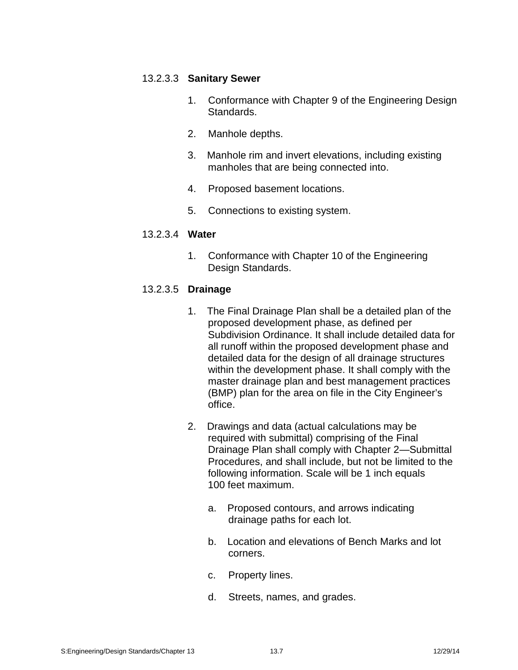#### 13.2.3.3 **Sanitary Sewer**

- 1. Conformance with Chapter 9 of the Engineering Design Standards.
- 2. Manhole depths.
- 3. Manhole rim and invert elevations, including existing manholes that are being connected into.
- 4. Proposed basement locations.
- 5. Connections to existing system.

## 13.2.3.4 **Water**

1. Conformance with Chapter 10 of the Engineering Design Standards.

## 13.2.3.5 **Drainage**

- 1. The Final Drainage Plan shall be a detailed plan of the proposed development phase, as defined per Subdivision Ordinance. It shall include detailed data for all runoff within the proposed development phase and detailed data for the design of all drainage structures within the development phase. It shall comply with the master drainage plan and best management practices (BMP) plan for the area on file in the City Engineer's office.
- 2. Drawings and data (actual calculations may be required with submittal) comprising of the Final Drainage Plan shall comply with Chapter 2—Submittal Procedures, and shall include, but not be limited to the following information. Scale will be 1 inch equals 100 feet maximum.
	- a. Proposed contours, and arrows indicating drainage paths for each lot.
	- b. Location and elevations of Bench Marks and lot corners.
	- c. Property lines.
	- d. Streets, names, and grades.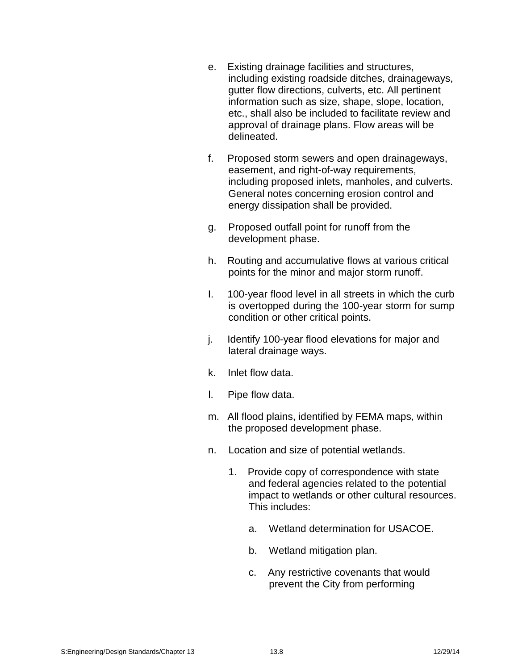- e. Existing drainage facilities and structures, including existing roadside ditches, drainageways, gutter flow directions, culverts, etc. All pertinent information such as size, shape, slope, location, etc., shall also be included to facilitate review and approval of drainage plans. Flow areas will be delineated.
- f. Proposed storm sewers and open drainageways, easement, and right-of-way requirements, including proposed inlets, manholes, and culverts. General notes concerning erosion control and energy dissipation shall be provided.
- g. Proposed outfall point for runoff from the development phase.
- h. Routing and accumulative flows at various critical points for the minor and major storm runoff.
- I. 100-year flood level in all streets in which the curb is overtopped during the 100-year storm for sump condition or other critical points.
- j. Identify 100-year flood elevations for major and lateral drainage ways.
- k. Inlet flow data.
- l. Pipe flow data.
- m. All flood plains, identified by FEMA maps, within the proposed development phase.
- n. Location and size of potential wetlands.
	- 1. Provide copy of correspondence with state and federal agencies related to the potential impact to wetlands or other cultural resources. This includes:
		- a. Wetland determination for USACOE.
		- b. Wetland mitigation plan.
		- c. Any restrictive covenants that would prevent the City from performing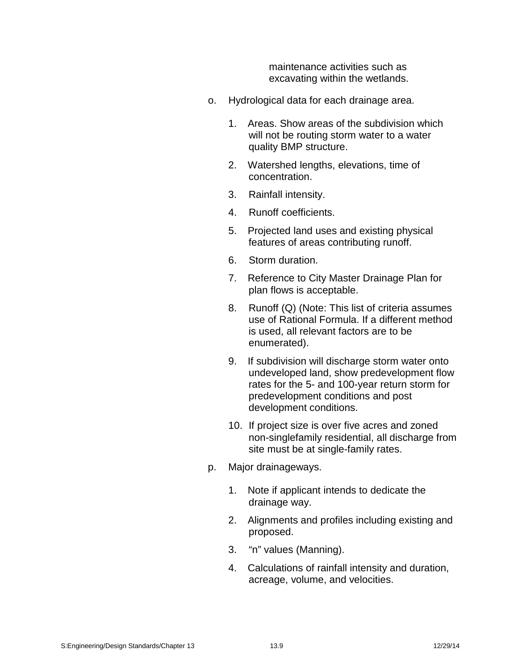maintenance activities such as excavating within the wetlands.

- o. Hydrological data for each drainage area.
	- 1. Areas. Show areas of the subdivision which will not be routing storm water to a water quality BMP structure.
	- 2. Watershed lengths, elevations, time of concentration.
	- 3. Rainfall intensity.
	- 4. Runoff coefficients.
	- 5. Projected land uses and existing physical features of areas contributing runoff.
	- 6. Storm duration.
	- 7. Reference to City Master Drainage Plan for plan flows is acceptable.
	- 8. Runoff (Q) (Note: This list of criteria assumes use of Rational Formula. If a different method is used, all relevant factors are to be enumerated).
	- 9. If subdivision will discharge storm water onto undeveloped land, show predevelopment flow rates for the 5- and 100-year return storm for predevelopment conditions and post development conditions.
	- 10. If project size is over five acres and zoned non-singlefamily residential, all discharge from site must be at single-family rates.
- p. Major drainageways.
	- 1. Note if applicant intends to dedicate the drainage way.
	- 2. Alignments and profiles including existing and proposed.
	- 3. "n" values (Manning).
	- 4. Calculations of rainfall intensity and duration, acreage, volume, and velocities.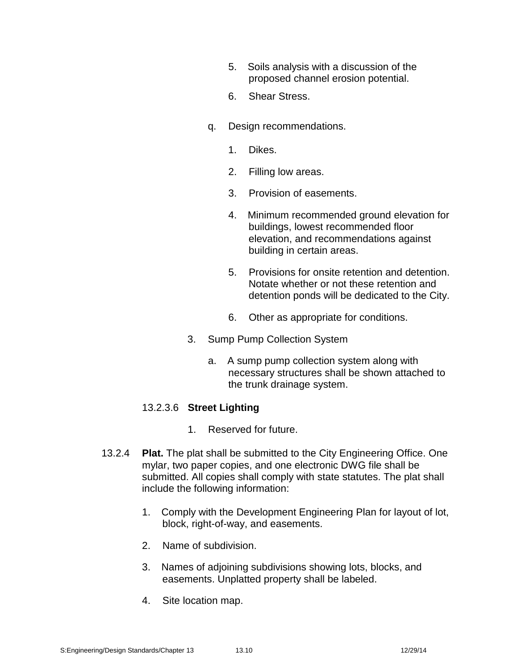- 5. Soils analysis with a discussion of the proposed channel erosion potential.
- 6. Shear Stress.
- q. Design recommendations.
	- 1. Dikes.
	- 2. Filling low areas.
	- 3. Provision of easements.
	- 4. Minimum recommended ground elevation for buildings, lowest recommended floor elevation, and recommendations against building in certain areas.
	- 5. Provisions for onsite retention and detention. Notate whether or not these retention and detention ponds will be dedicated to the City.
	- 6. Other as appropriate for conditions.
- 3. Sump Pump Collection System
	- a. A sump pump collection system along with necessary structures shall be shown attached to the trunk drainage system.

#### 13.2.3.6 **Street Lighting**

- 1. Reserved for future.
- 13.2.4 **Plat.** The plat shall be submitted to the City Engineering Office. One mylar, two paper copies, and one electronic DWG file shall be submitted. All copies shall comply with state statutes. The plat shall include the following information:
	- 1. Comply with the Development Engineering Plan for layout of lot, block, right-of-way, and easements.
	- 2. Name of subdivision.
	- 3. Names of adjoining subdivisions showing lots, blocks, and easements. Unplatted property shall be labeled.
	- 4. Site location map.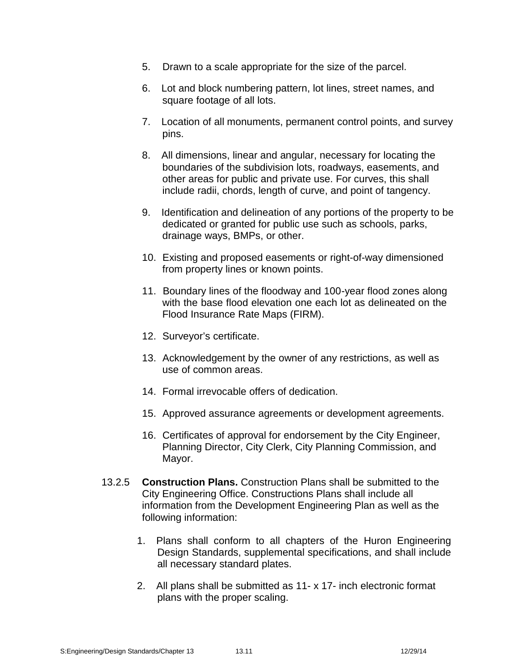- 5. Drawn to a scale appropriate for the size of the parcel.
- 6. Lot and block numbering pattern, lot lines, street names, and square footage of all lots.
- 7. Location of all monuments, permanent control points, and survey pins.
- 8. All dimensions, linear and angular, necessary for locating the boundaries of the subdivision lots, roadways, easements, and other areas for public and private use. For curves, this shall include radii, chords, length of curve, and point of tangency.
- 9. Identification and delineation of any portions of the property to be dedicated or granted for public use such as schools, parks, drainage ways, BMPs, or other.
- 10. Existing and proposed easements or right-of-way dimensioned from property lines or known points.
- 11. Boundary lines of the floodway and 100-year flood zones along with the base flood elevation one each lot as delineated on the Flood Insurance Rate Maps (FIRM).
- 12. Surveyor's certificate.
- 13. Acknowledgement by the owner of any restrictions, as well as use of common areas.
- 14. Formal irrevocable offers of dedication.
- 15. Approved assurance agreements or development agreements.
- 16. Certificates of approval for endorsement by the City Engineer, Planning Director, City Clerk, City Planning Commission, and Mayor.
- 13.2.5 **Construction Plans.** Construction Plans shall be submitted to the City Engineering Office. Constructions Plans shall include all information from the Development Engineering Plan as well as the following information:
	- 1. Plans shall conform to all chapters of the Huron Engineering Design Standards, supplemental specifications, and shall include all necessary standard plates.
	- 2. All plans shall be submitted as 11- x 17- inch electronic format plans with the proper scaling.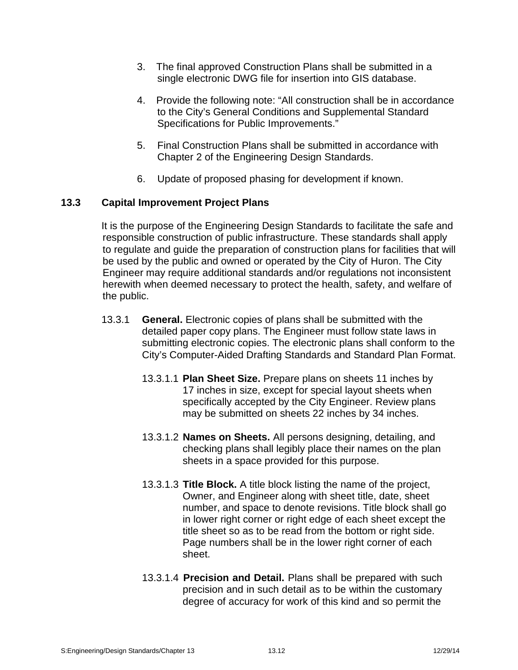- 3. The final approved Construction Plans shall be submitted in a single electronic DWG file for insertion into GIS database.
- 4. Provide the following note: "All construction shall be in accordance to the City's General Conditions and Supplemental Standard Specifications for Public Improvements."
- 5. Final Construction Plans shall be submitted in accordance with Chapter 2 of the Engineering Design Standards.
- 6. Update of proposed phasing for development if known.

## **13.3 Capital Improvement Project Plans**

It is the purpose of the Engineering Design Standards to facilitate the safe and responsible construction of public infrastructure. These standards shall apply to regulate and guide the preparation of construction plans for facilities that will be used by the public and owned or operated by the City of Huron. The City Engineer may require additional standards and/or regulations not inconsistent herewith when deemed necessary to protect the health, safety, and welfare of the public.

- 13.3.1 **General.** Electronic copies of plans shall be submitted with the detailed paper copy plans. The Engineer must follow state laws in submitting electronic copies. The electronic plans shall conform to the City's Computer-Aided Drafting Standards and Standard Plan Format.
	- 13.3.1.1 **Plan Sheet Size.** Prepare plans on sheets 11 inches by 17 inches in size, except for special layout sheets when specifically accepted by the City Engineer. Review plans may be submitted on sheets 22 inches by 34 inches.
	- 13.3.1.2 **Names on Sheets.** All persons designing, detailing, and checking plans shall legibly place their names on the plan sheets in a space provided for this purpose.
	- 13.3.1.3 **Title Block.** A title block listing the name of the project, Owner, and Engineer along with sheet title, date, sheet number, and space to denote revisions. Title block shall go in lower right corner or right edge of each sheet except the title sheet so as to be read from the bottom or right side. Page numbers shall be in the lower right corner of each sheet.
	- 13.3.1.4 **Precision and Detail.** Plans shall be prepared with such precision and in such detail as to be within the customary degree of accuracy for work of this kind and so permit the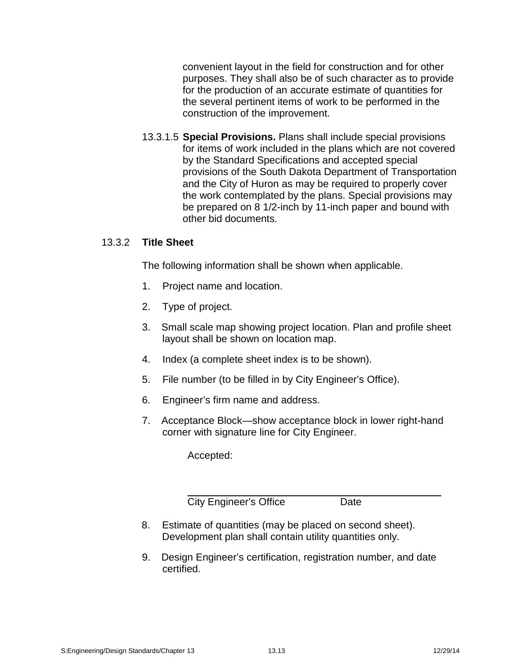convenient layout in the field for construction and for other purposes. They shall also be of such character as to provide for the production of an accurate estimate of quantities for the several pertinent items of work to be performed in the construction of the improvement.

13.3.1.5 **Special Provisions.** Plans shall include special provisions for items of work included in the plans which are not covered by the Standard Specifications and accepted special provisions of the South Dakota Department of Transportation and the City of Huron as may be required to properly cover the work contemplated by the plans. Special provisions may be prepared on 8 1/2-inch by 11-inch paper and bound with other bid documents.

## 13.3.2 **Title Sheet**

The following information shall be shown when applicable.

- 1. Project name and location.
- 2. Type of project.
- 3. Small scale map showing project location. Plan and profile sheet layout shall be shown on location map.
- 4. Index (a complete sheet index is to be shown).
- 5. File number (to be filled in by City Engineer's Office).
- 6. Engineer's firm name and address.
- 7. Acceptance Block—show acceptance block in lower right-hand corner with signature line for City Engineer.

Accepted:

City Engineer's Office **Date** 

- 8. Estimate of quantities (may be placed on second sheet). Development plan shall contain utility quantities only.
- 9. Design Engineer's certification, registration number, and date certified.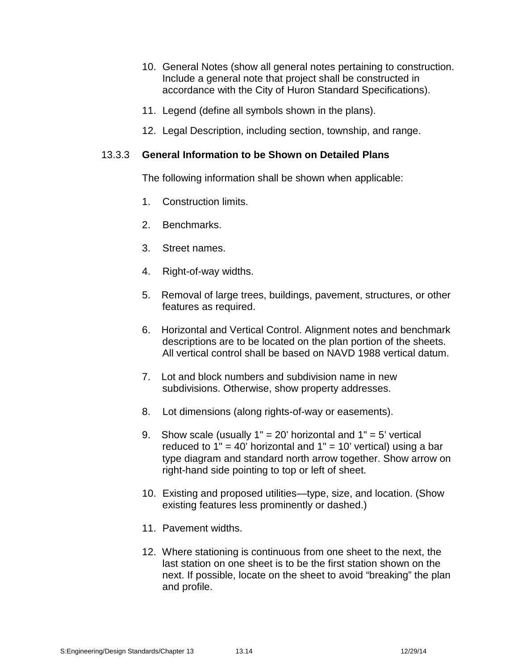- 10. General Notes (show all general notes pertaining to construction. Include a general note that project shall be constructed in accordance with the City of Huron Standard Specifications).
- 11. Legend (define all symbols shown in the plans).
- 12. Legal Description, including section, township, and range.

#### 13.3.3 **General Information to be Shown on Detailed Plans**

The following information shall be shown when applicable:

- 1. Construction limits.
- 2. Benchmarks.
- 3. Street names.
- 4. Right-of-way widths.
- 5. Removal of large trees, buildings, pavement, structures, or other features as required.
- 6. Horizontal and Vertical Control. Alignment notes and benchmark descriptions are to be located on the plan portion of the sheets. All vertical control shall be based on NAVD 1988 vertical datum.
- 7. Lot and block numbers and subdivision name in new subdivisions. Otherwise, show property addresses.
- 8. Lot dimensions (along rights-of-way or easements).
- 9. Show scale (usually  $1" = 20'$  horizontal and  $1" = 5'$  vertical reduced to  $1" = 40'$  horizontal and  $1" = 10'$  vertical) using a bar type diagram and standard north arrow together. Show arrow on right-hand side pointing to top or left of sheet.
- 10. Existing and proposed utilities—type, size, and location. (Show existing features less prominently or dashed.)
- 11. Pavement widths.
- 12. Where stationing is continuous from one sheet to the next, the last station on one sheet is to be the first station shown on the next. If possible, locate on the sheet to avoid "breaking" the plan and profile.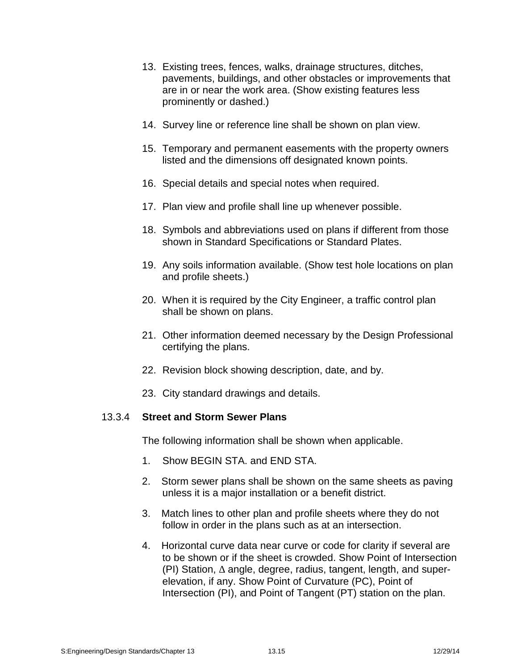- 13. Existing trees, fences, walks, drainage structures, ditches, pavements, buildings, and other obstacles or improvements that are in or near the work area. (Show existing features less prominently or dashed.)
- 14. Survey line or reference line shall be shown on plan view.
- 15. Temporary and permanent easements with the property owners listed and the dimensions off designated known points.
- 16. Special details and special notes when required.
- 17. Plan view and profile shall line up whenever possible.
- 18. Symbols and abbreviations used on plans if different from those shown in Standard Specifications or Standard Plates.
- 19. Any soils information available. (Show test hole locations on plan and profile sheets.)
- 20. When it is required by the City Engineer, a traffic control plan shall be shown on plans.
- 21. Other information deemed necessary by the Design Professional certifying the plans.
- 22. Revision block showing description, date, and by.
- 23. City standard drawings and details.

#### 13.3.4 **Street and Storm Sewer Plans**

The following information shall be shown when applicable.

- 1. Show BEGIN STA. and END STA.
- 2. Storm sewer plans shall be shown on the same sheets as paving unless it is a major installation or a benefit district.
- 3. Match lines to other plan and profile sheets where they do not follow in order in the plans such as at an intersection.
- 4. Horizontal curve data near curve or code for clarity if several are to be shown or if the sheet is crowded. Show Point of Intersection (PI) Station, angle, degree, radius, tangent, length, and super elevation, if any. Show Point of Curvature (PC), Point of Intersection (PI), and Point of Tangent (PT) station on the plan.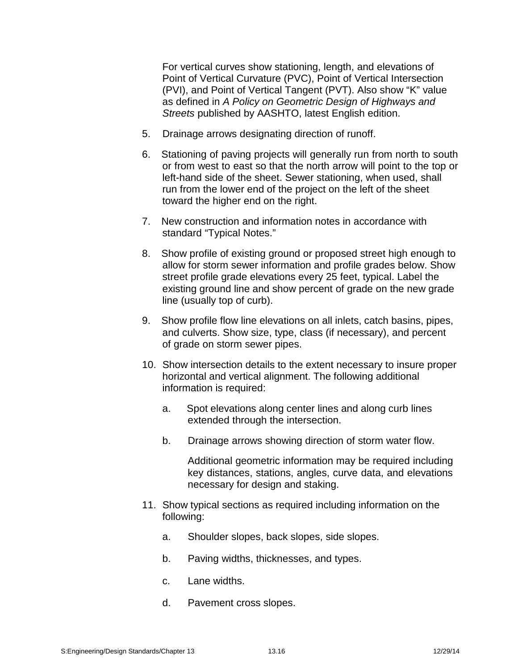For vertical curves show stationing, length, and elevations of Point of Vertical Curvature (PVC), Point of Vertical Intersection (PVI), and Point of Vertical Tangent (PVT). Also show "K" value as defined in *A Policy on Geometric Design of Highways and Streets* published by AASHTO, latest English edition.

- 5. Drainage arrows designating direction of runoff.
- 6. Stationing of paving projects will generally run from north to south or from west to east so that the north arrow will point to the top or left-hand side of the sheet. Sewer stationing, when used, shall run from the lower end of the project on the left of the sheet toward the higher end on the right.
- 7. New construction and information notes in accordance with standard "Typical Notes."
- 8. Show profile of existing ground or proposed street high enough to allow for storm sewer information and profile grades below. Show street profile grade elevations every 25 feet, typical. Label the existing ground line and show percent of grade on the new grade line (usually top of curb).
- 9. Show profile flow line elevations on all inlets, catch basins, pipes, and culverts. Show size, type, class (if necessary), and percent of grade on storm sewer pipes.
- 10. Show intersection details to the extent necessary to insure proper horizontal and vertical alignment. The following additional information is required:
	- a. Spot elevations along center lines and along curb lines extended through the intersection.
	- b. Drainage arrows showing direction of storm water flow.

Additional geometric information may be required including key distances, stations, angles, curve data, and elevations necessary for design and staking.

- 11. Show typical sections as required including information on the following:
	- a. Shoulder slopes, back slopes, side slopes.
	- b. Paving widths, thicknesses, and types.
	- c. Lane widths.
	- d. Pavement cross slopes.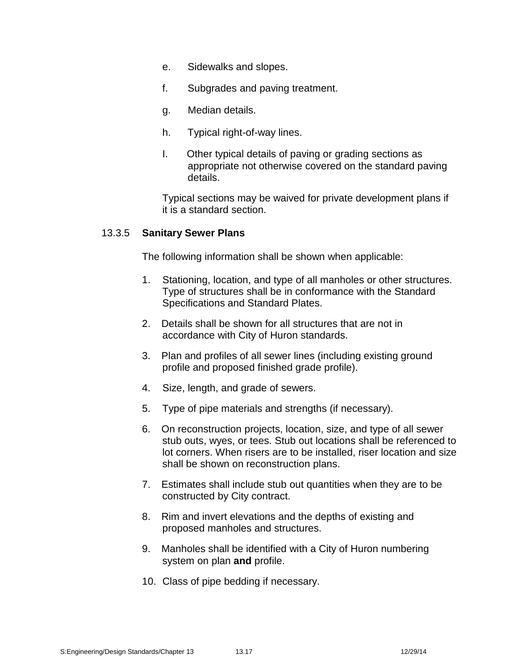- e. Sidewalks and slopes.
- f. Subgrades and paving treatment.
- g. Median details.
- h. Typical right-of-way lines.
- I. Other typical details of paving or grading sections as appropriate not otherwise covered on the standard paving details.

Typical sections may be waived for private development plans if it is a standard section.

#### 13.3.5 **Sanitary Sewer Plans**

The following information shall be shown when applicable:

- 1. Stationing, location, and type of all manholes or other structures. Type of structures shall be in conformance with the Standard Specifications and Standard Plates.
- 2. Details shall be shown for all structures that are not in accordance with City of Huron standards.
- 3. Plan and profiles of all sewer lines (including existing ground profile and proposed finished grade profile).
- 4. Size, length, and grade of sewers.
- 5. Type of pipe materials and strengths (if necessary).
- 6. On reconstruction projects, location, size, and type of all sewer stub outs, wyes, or tees. Stub out locations shall be referenced to lot corners. When risers are to be installed, riser location and size shall be shown on reconstruction plans.
- 7. Estimates shall include stub out quantities when they are to be constructed by City contract.
- 8. Rim and invert elevations and the depths of existing and proposed manholes and structures.
- 9. Manholes shall be identified with a City of Huron numbering system on plan **and** profile.
- 10. Class of pipe bedding if necessary.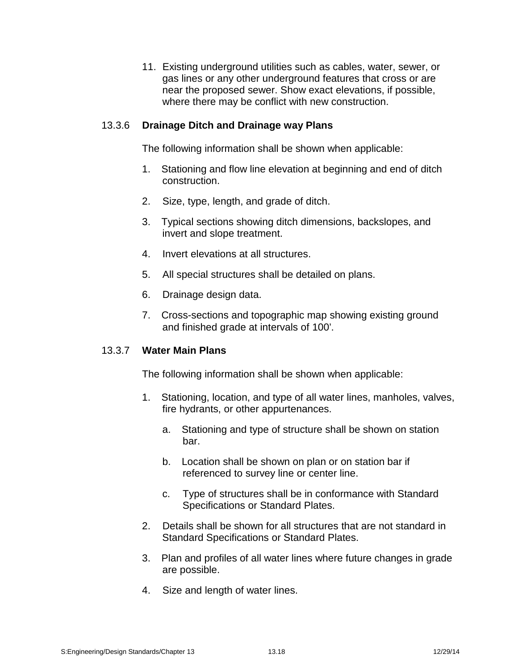11. Existing underground utilities such as cables, water, sewer, or gas lines or any other underground features that cross or are near the proposed sewer. Show exact elevations, if possible, where there may be conflict with new construction.

#### 13.3.6 **Drainage Ditch and Drainage way Plans**

The following information shall be shown when applicable:

- 1. Stationing and flow line elevation at beginning and end of ditch construction.
- 2. Size, type, length, and grade of ditch.
- 3. Typical sections showing ditch dimensions, backslopes, and invert and slope treatment.
- 4. Invert elevations at all structures.
- 5. All special structures shall be detailed on plans.
- 6. Drainage design data.
- 7. Cross-sections and topographic map showing existing ground and finished grade at intervals of 100'.

#### 13.3.7 **Water Main Plans**

The following information shall be shown when applicable:

- 1. Stationing, location, and type of allwater lines, manholes, valves, fire hydrants, or other appurtenances.
	- a. Stationing and type of structure shall be shown on station bar.
	- b. Location shall be shown on plan or on station bar if referenced to survey line or center line.
	- c. Type of structures shall be in conformance with Standard Specifications or Standard Plates.
- 2. Details shall be shown for all structures that are not standard in Standard Specifications or Standard Plates.
- 3. Plan and profiles of all water lines where future changes in grade are possible.
- 4. Size and length of water lines.